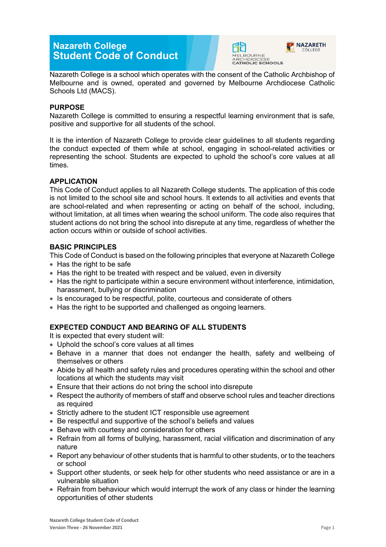# **Nazareth College Student Code of Conduct**



COLLEGE

Nazareth College is a school which operates with the consent of the Catholic Archbishop of Melbourne and is owned, operated and governed by Melbourne Archdiocese Catholic Schools Ltd (MACS).

# **PURPOSE**

Nazareth College is committed to ensuring a respectful learning environment that is safe, positive and supportive for all students of the school.

It is the intention of Nazareth College to provide clear guidelines to all students regarding the conduct expected of them while at school, engaging in school-related activities or representing the school. Students are expected to uphold the school's core values at all times.

# **APPLICATION**

This Code of Conduct applies to all Nazareth College students. The application of this code is not limited to the school site and school hours. It extends to all activities and events that are school-related and when representing or acting on behalf of the school, including, without limitation, at all times when wearing the school uniform. The code also requires that student actions do not bring the school into disrepute at any time, regardless of whether the action occurs within or outside of school activities.

# **BASIC PRINCIPLES**

This Code of Conduct is based on the following principles that everyone at Nazareth College

- Has the right to be safe
- Has the right to be treated with respect and be valued, even in diversity
- Has the right to participate within a secure environment without interference, intimidation, harassment, bullying or discrimination
- Is encouraged to be respectful, polite, courteous and considerate of others
- Has the right to be supported and challenged as ongoing learners.

# **EXPECTED CONDUCT AND BEARING OF ALL STUDENTS**

It is expected that every student will:

- Uphold the school's core values at all times
- Behave in a manner that does not endanger the health, safety and wellbeing of themselves or others
- Abide by all health and safety rules and procedures operating within the school and other locations at which the students may visit
- Ensure that their actions do not bring the school into disrepute
- Respect the authority of members of staff and observe school rules and teacher directions as required
- Strictly adhere to the student ICT responsible use agreement
- Be respectful and supportive of the school's beliefs and values
- Behave with courtesy and consideration for others
- Refrain from all forms of bullying, harassment, racial vilification and discrimination of any nature
- Report any behaviour of other students that is harmful to other students, or to the teachers or school
- Support other students, or seek help for other students who need assistance or are in a vulnerable situation
- Refrain from behaviour which would interrupt the work of any class or hinder the learning opportunities of other students